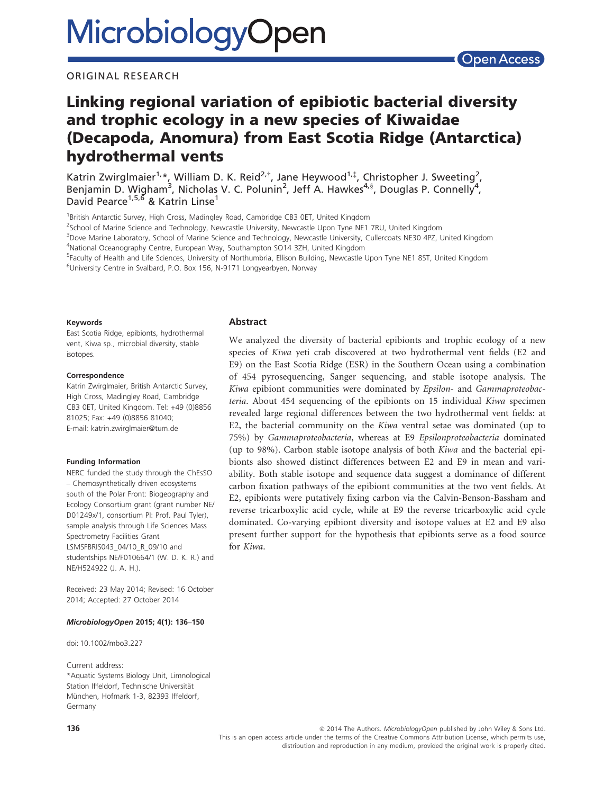### ORIGINAL RESEARCH

# Linking regional variation of epibiotic bacterial diversity and trophic ecology in a new species of Kiwaidae (Decapoda, Anomura) from East Scotia Ridge (Antarctica) hydrothermal vents

Katrin Zwirglmaier<sup>1,\*</sup>, William D. K. Reid<sup>2,†</sup>, Jane Heywood<sup>1,‡</sup>, Christopher J. Sweeting<sup>2</sup>, Benjamin D. Wigham<sup>3</sup>, Nicholas V. C. Polunin<sup>2</sup>, Jeff A. Hawkes<sup>4,§</sup>, Douglas P. Connelly<sup>4</sup>, David Pearce<sup>1,5,6</sup> & Katrin Linse<sup>1</sup>

<sup>1</sup>British Antarctic Survey, High Cross, Madingley Road, Cambridge CB3 0ET, United Kingdom

<sup>2</sup>School of Marine Science and Technology, Newcastle University, Newcastle Upon Tyne NE1 7RU, United Kingdom

<sup>3</sup>Dove Marine Laboratory, School of Marine Science and Technology, Newcastle University, Cullercoats NE30 4PZ, United Kingdom 4 National Oceanography Centre, European Way, Southampton SO14 3ZH, United Kingdom

<sup>5</sup>Faculty of Health and Life Sciences, University of Northumbria, Ellison Building, Newcastle Upon Tyne NE1 8ST, United Kingdom <sup>6</sup>University Centre in Svalbard, P.O. Box 156, N-9171 Longyearbyen, Norway

#### Keywords

East Scotia Ridge, epibionts, hydrothermal vent, Kiwa sp., microbial diversity, stable isotopes.

#### **Correspondence**

Katrin Zwirglmaier, British Antarctic Survey, High Cross, Madingley Road, Cambridge CB3 0ET, United Kingdom. Tel: +49 (0)8856 81025; Fax: +49 (0)8856 81040; E-mail: katrin.zwirglmaier@tum.de

#### Funding Information

NERC funded the study through the ChEsSO – Chemosynthetically driven ecosystems south of the Polar Front: Biogeography and Ecology Consortium grant (grant number NE/ D01249x/1, consortium PI: Prof. Paul Tyler), sample analysis through Life Sciences Mass Spectrometry Facilities Grant LSMSFBRIS043\_04/10\_R\_09/10 and studentships NE/F010664/1 (W. D. K. R.) and NE/H524922 (J. A. H.).

Received: 23 May 2014; Revised: 16 October 2014; Accepted: 27 October 2014

#### MicrobiologyOpen 2015; 4(1): 136–<sup>150</sup>

doi: 10.1002/mbo3.227

Current address: \*Aquatic Systems Biology Unit, Limnological Station Iffeldorf, Technische Universität München, Hofmark 1-3, 82393 Iffeldorf, Germany

### Abstract

We analyzed the diversity of bacterial epibionts and trophic ecology of a new species of Kiwa yeti crab discovered at two hydrothermal vent fields (E2 and E9) on the East Scotia Ridge (ESR) in the Southern Ocean using a combination of 454 pyrosequencing, Sanger sequencing, and stable isotope analysis. The Kiwa epibiont communities were dominated by Epsilon- and Gammaproteobacteria. About 454 sequencing of the epibionts on 15 individual Kiwa specimen revealed large regional differences between the two hydrothermal vent fields: at E2, the bacterial community on the Kiwa ventral setae was dominated (up to 75%) by Gammaproteobacteria, whereas at E9 Epsilonproteobacteria dominated (up to 98%). Carbon stable isotope analysis of both Kiwa and the bacterial epibionts also showed distinct differences between E2 and E9 in mean and variability. Both stable isotope and sequence data suggest a dominance of different carbon fixation pathways of the epibiont communities at the two vent fields. At E2, epibionts were putatively fixing carbon via the Calvin-Benson-Bassham and reverse tricarboxylic acid cycle, while at E9 the reverse tricarboxylic acid cycle dominated. Co-varying epibiont diversity and isotope values at E2 and E9 also present further support for the hypothesis that epibionts serve as a food source for Kiwa.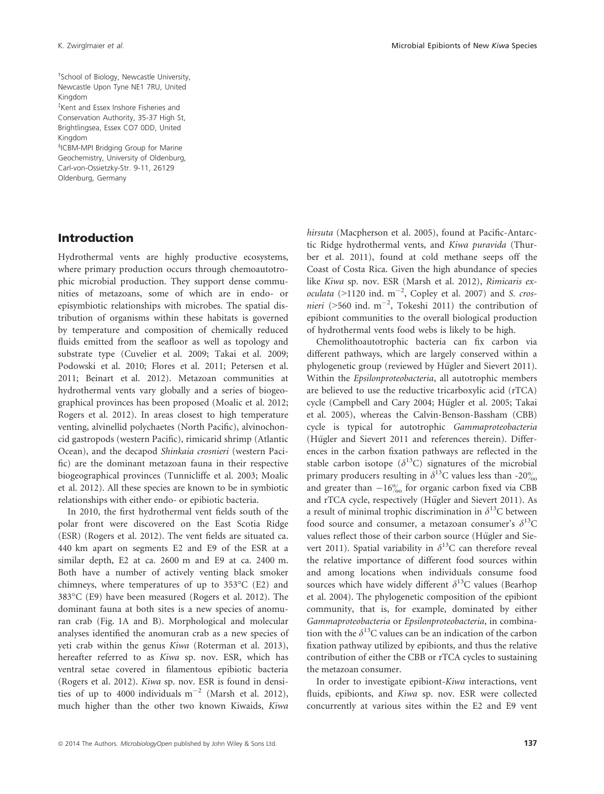† School of Biology, Newcastle University, Newcastle Upon Tyne NE1 7RU, United Kingdom

‡ Kent and Essex Inshore Fisheries and Conservation Authority, 35-37 High St, Brightlingsea, Essex CO7 0DD, United Kingdom

§ ICBM-MPI Bridging Group for Marine Geochemistry, University of Oldenburg, Carl-von-Ossietzky-Str. 9-11, 26129 Oldenburg, Germany

### Introduction

Hydrothermal vents are highly productive ecosystems, where primary production occurs through chemoautotrophic microbial production. They support dense communities of metazoans, some of which are in endo- or episymbiotic relationships with microbes. The spatial distribution of organisms within these habitats is governed by temperature and composition of chemically reduced fluids emitted from the seafloor as well as topology and substrate type (Cuvelier et al. 2009; Takai et al. 2009; Podowski et al. 2010; Flores et al. 2011; Petersen et al. 2011; Beinart et al. 2012). Metazoan communities at hydrothermal vents vary globally and a series of biogeographical provinces has been proposed (Moalic et al. 2012; Rogers et al. 2012). In areas closest to high temperature venting, alvinellid polychaetes (North Pacific), alvinochoncid gastropods (western Pacific), rimicarid shrimp (Atlantic Ocean), and the decapod Shinkaia crosnieri (western Pacific) are the dominant metazoan fauna in their respective biogeographical provinces (Tunnicliffe et al. 2003; Moalic et al. 2012). All these species are known to be in symbiotic relationships with either endo- or epibiotic bacteria.

In 2010, the first hydrothermal vent fields south of the polar front were discovered on the East Scotia Ridge (ESR) (Rogers et al. 2012). The vent fields are situated ca. 440 km apart on segments E2 and E9 of the ESR at a similar depth, E2 at ca. 2600 m and E9 at ca. 2400 m. Both have a number of actively venting black smoker chimneys, where temperatures of up to 353°C (E2) and 383°C (E9) have been measured (Rogers et al. 2012). The dominant fauna at both sites is a new species of anomuran crab (Fig. 1A and B). Morphological and molecular analyses identified the anomuran crab as a new species of yeti crab within the genus Kiwa (Roterman et al. 2013), hereafter referred to as Kiwa sp. nov. ESR, which has ventral setae covered in filamentous epibiotic bacteria (Rogers et al. 2012). Kiwa sp. nov. ESR is found in densities of up to 4000 individuals  $m^{-2}$  (Marsh et al. 2012), much higher than the other two known Kiwaids, Kiwa hirsuta (Macpherson et al. 2005), found at Pacific-Antarctic Ridge hydrothermal vents, and Kiwa puravida (Thurber et al. 2011), found at cold methane seeps off the Coast of Costa Rica. Given the high abundance of species like Kiwa sp. nov. ESR (Marsh et al. 2012), Rimicaris exoculata (>1120 ind.  $m^{-2}$ , Copley et al. 2007) and S. cros*nieri* (>560 ind.  $m^{-2}$ , Tokeshi 2011) the contribution of epibiont communities to the overall biological production of hydrothermal vents food webs is likely to be high.

Chemolithoautotrophic bacteria can fix carbon via different pathways, which are largely conserved within a phylogenetic group (reviewed by Hügler and Sievert 2011). Within the Epsilonproteobacteria, all autotrophic members are believed to use the reductive tricarboxylic acid (rTCA) cycle (Campbell and Cary 2004; Hügler et al. 2005; Takai et al. 2005), whereas the Calvin-Benson-Bassham (CBB) cycle is typical for autotrophic Gammaproteobacteria (Hügler and Sievert 2011 and references therein). Differences in the carbon fixation pathways are reflected in the stable carbon isotope ( $\delta^{13}$ C) signatures of the microbial primary producers resulting in  $\delta^{13}$ C values less than -20% and greater than  $-16\%$  for organic carbon fixed via CBB and rTCA cycle, respectively (Hügler and Sievert 2011). As a result of minimal trophic discrimination in  $\delta^{13}$ C between food source and consumer, a metazoan consumer's  $\delta^{13}$ C values reflect those of their carbon source (Hügler and Sievert 2011). Spatial variability in  $\delta^{13}$ C can therefore reveal the relative importance of different food sources within and among locations when individuals consume food sources which have widely different  $\delta^{13}$ C values (Bearhop et al. 2004). The phylogenetic composition of the epibiont community, that is, for example, dominated by either Gammaproteobacteria or Epsilonproteobacteria, in combination with the  $\delta^{13}$ C values can be an indication of the carbon fixation pathway utilized by epibionts, and thus the relative contribution of either the CBB or rTCA cycles to sustaining the metazoan consumer.

In order to investigate epibiont-Kiwa interactions, vent fluids, epibionts, and Kiwa sp. nov. ESR were collected concurrently at various sites within the E2 and E9 vent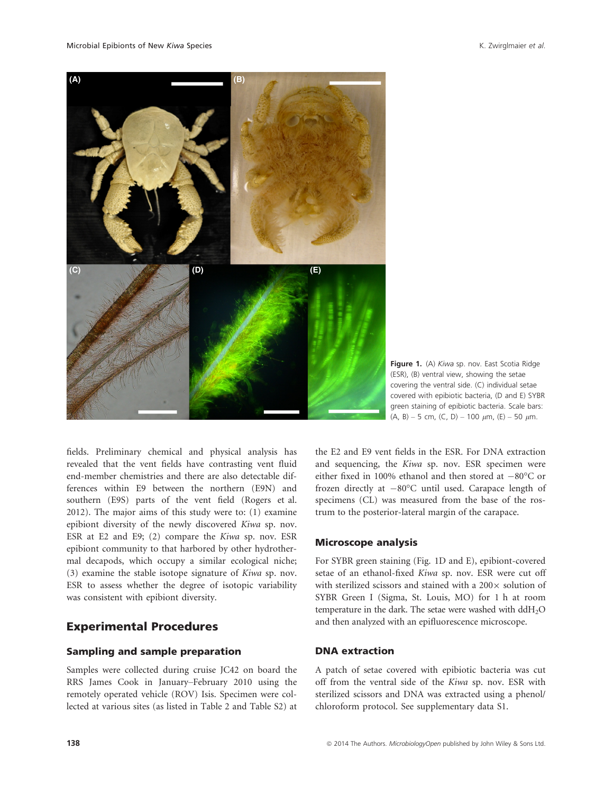

Figure 1. (A) Kiwa sp. nov. East Scotia Ridge (ESR), (B) ventral view, showing the setae covering the ventral side. (C) individual setae covered with epibiotic bacteria, (D and E) SYBR green staining of epibiotic bacteria. Scale bars:  $(A, B) - 5$  cm,  $(C, D) - 100 \mu m$ ,  $(E) - 50 \mu m$ .

fields. Preliminary chemical and physical analysis has revealed that the vent fields have contrasting vent fluid end-member chemistries and there are also detectable differences within E9 between the northern (E9N) and southern (E9S) parts of the vent field (Rogers et al. 2012). The major aims of this study were to: (1) examine epibiont diversity of the newly discovered Kiwa sp. nov. ESR at E2 and E9; (2) compare the Kiwa sp. nov. ESR epibiont community to that harbored by other hydrothermal decapods, which occupy a similar ecological niche; (3) examine the stable isotope signature of Kiwa sp. nov. ESR to assess whether the degree of isotopic variability was consistent with epibiont diversity.

# Experimental Procedures

#### Sampling and sample preparation

Samples were collected during cruise JC42 on board the RRS James Cook in January–February 2010 using the remotely operated vehicle (ROV) Isis. Specimen were collected at various sites (as listed in Table 2 and Table S2) at

the E2 and E9 vent fields in the ESR. For DNA extraction and sequencing, the Kiwa sp. nov. ESR specimen were either fixed in 100% ethanol and then stored at  $-80^{\circ}$ C or frozen directly at  $-80^{\circ}$ C until used. Carapace length of specimens (CL) was measured from the base of the rostrum to the posterior-lateral margin of the carapace.

#### Microscope analysis

For SYBR green staining (Fig. 1D and E), epibiont-covered setae of an ethanol-fixed Kiwa sp. nov. ESR were cut off with sterilized scissors and stained with a 200 $\times$  solution of SYBR Green I (Sigma, St. Louis, MO) for 1 h at room temperature in the dark. The setae were washed with ddH<sub>2</sub>O and then analyzed with an epifluorescence microscope.

### DNA extraction

A patch of setae covered with epibiotic bacteria was cut off from the ventral side of the Kiwa sp. nov. ESR with sterilized scissors and DNA was extracted using a phenol/ chloroform protocol. See supplementary data S1.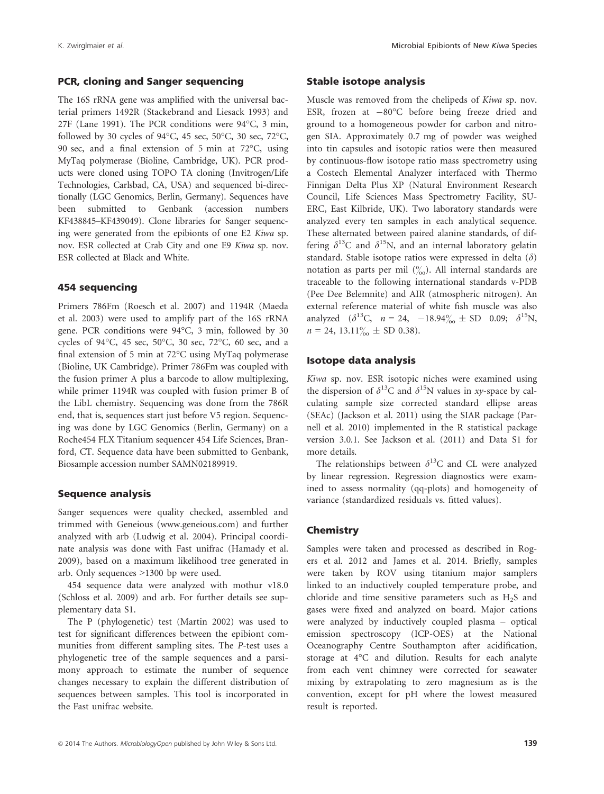#### PCR, cloning and Sanger sequencing

The 16S rRNA gene was amplified with the universal bacterial primers 1492R (Stackebrand and Liesack 1993) and 27F (Lane 1991). The PCR conditions were 94°C, 3 min, followed by 30 cycles of 94°C, 45 sec, 50°C, 30 sec, 72°C, 90 sec, and a final extension of 5 min at 72°C, using MyTaq polymerase (Bioline, Cambridge, UK). PCR products were cloned using TOPO TA cloning (Invitrogen/Life Technologies, Carlsbad, CA, USA) and sequenced bi-directionally (LGC Genomics, Berlin, Germany). Sequences have been submitted to Genbank (accession numbers KF438845–KF439049). Clone libraries for Sanger sequencing were generated from the epibionts of one E2 Kiwa sp. nov. ESR collected at Crab City and one E9 Kiwa sp. nov. ESR collected at Black and White.

#### 454 sequencing

Primers 786Fm (Roesch et al. 2007) and 1194R (Maeda et al. 2003) were used to amplify part of the 16S rRNA gene. PCR conditions were 94°C, 3 min, followed by 30 cycles of 94°C, 45 sec, 50°C, 30 sec, 72°C, 60 sec, and a final extension of 5 min at 72°C using MyTaq polymerase (Bioline, UK Cambridge). Primer 786Fm was coupled with the fusion primer A plus a barcode to allow multiplexing, while primer 1194R was coupled with fusion primer B of the LibL chemistry. Sequencing was done from the 786R end, that is, sequences start just before V5 region. Sequencing was done by LGC Genomics (Berlin, Germany) on a Roche454 FLX Titanium sequencer 454 Life Sciences, Branford, CT. Sequence data have been submitted to Genbank, Biosample accession number SAMN02189919.

#### Sequence analysis

Sanger sequences were quality checked, assembled and trimmed with Geneious (www.geneious.com) and further analyzed with arb (Ludwig et al. 2004). Principal coordinate analysis was done with Fast unifrac (Hamady et al. 2009), based on a maximum likelihood tree generated in arb. Only sequences >1300 bp were used.

454 sequence data were analyzed with mothur v18.0 (Schloss et al. 2009) and arb. For further details see supplementary data S1.

The P (phylogenetic) test (Martin 2002) was used to test for significant differences between the epibiont communities from different sampling sites. The P-test uses a phylogenetic tree of the sample sequences and a parsimony approach to estimate the number of sequence changes necessary to explain the different distribution of sequences between samples. This tool is incorporated in the Fast unifrac website.

#### Stable isotope analysis

Muscle was removed from the chelipeds of Kiwa sp. nov. ESR, frozen at  $-80^{\circ}$ C before being freeze dried and ground to a homogeneous powder for carbon and nitrogen SIA. Approximately 0.7 mg of powder was weighed into tin capsules and isotopic ratios were then measured by continuous-flow isotope ratio mass spectrometry using a Costech Elemental Analyzer interfaced with Thermo Finnigan Delta Plus XP (Natural Environment Research Council, Life Sciences Mass Spectrometry Facility, SU-ERC, East Kilbride, UK). Two laboratory standards were analyzed every ten samples in each analytical sequence. These alternated between paired alanine standards, of differing  $\delta^{13}$ C and  $\delta^{15}$ N, and an internal laboratory gelatin standard. Stable isotope ratios were expressed in delta  $(\delta)$ notation as parts per mil  $\binom{0}{00}$ . All internal standards are traceable to the following international standards v-PDB (Pee Dee Belemnite) and AIR (atmospheric nitrogen). An external reference material of white fish muscle was also analyzed  $(\delta^{13}C, n = 24, -18.94\% \pm SD$  0.09;  $\delta^{15}N$ ,  $n = 24, 13.11\%_{\odot} \pm SD(0.38).$ 

#### Isotope data analysis

Kiwa sp. nov. ESR isotopic niches were examined using the dispersion of  $\delta^{13}$ C and  $\delta^{15}$ N values in *xy*-space by calculating sample size corrected standard ellipse areas (SEAc) (Jackson et al. 2011) using the SIAR package (Parnell et al. 2010) implemented in the R statistical package version 3.0.1. See Jackson et al. (2011) and Data S1 for more details.

The relationships between  $\delta^{13}$ C and CL were analyzed by linear regression. Regression diagnostics were examined to assess normality (qq-plots) and homogeneity of variance (standardized residuals vs. fitted values).

#### **Chemistry**

Samples were taken and processed as described in Rogers et al. 2012 and James et al. 2014. Briefly, samples were taken by ROV using titanium major samplers linked to an inductively coupled temperature probe, and chloride and time sensitive parameters such as  $H_2S$  and gases were fixed and analyzed on board. Major cations were analyzed by inductively coupled plasma – optical emission spectroscopy (ICP-OES) at the National Oceanography Centre Southampton after acidification, storage at 4°C and dilution. Results for each analyte from each vent chimney were corrected for seawater mixing by extrapolating to zero magnesium as is the convention, except for pH where the lowest measured result is reported.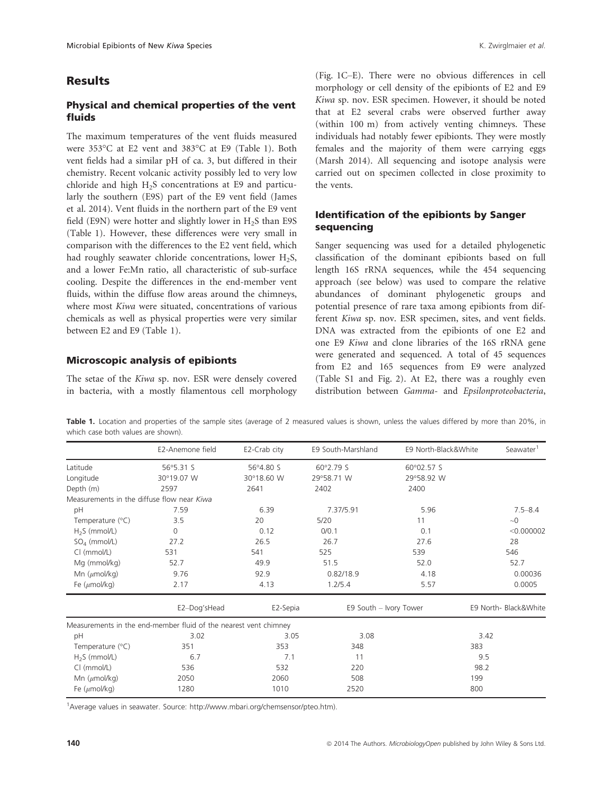### Results

### Physical and chemical properties of the vent fluids

The maximum temperatures of the vent fluids measured were 353°C at E2 vent and 383°C at E9 (Table 1). Both vent fields had a similar pH of ca. 3, but differed in their chemistry. Recent volcanic activity possibly led to very low chloride and high  $H<sub>2</sub>S$  concentrations at E9 and particularly the southern (E9S) part of the E9 vent field (James et al. 2014). Vent fluids in the northern part of the E9 vent field (E9N) were hotter and slightly lower in  $H<sub>2</sub>S$  than E9S (Table 1). However, these differences were very small in comparison with the differences to the E2 vent field, which had roughly seawater chloride concentrations, lower  $H_2S$ , and a lower Fe:Mn ratio, all characteristic of sub-surface cooling. Despite the differences in the end-member vent fluids, within the diffuse flow areas around the chimneys, where most Kiwa were situated, concentrations of various chemicals as well as physical properties were very similar between E2 and E9 (Table 1).

#### Microscopic analysis of epibionts

The setae of the Kiwa sp. nov. ESR were densely covered in bacteria, with a mostly filamentous cell morphology (Fig. 1C–E). There were no obvious differences in cell morphology or cell density of the epibionts of E2 and E9 Kiwa sp. nov. ESR specimen. However, it should be noted that at E2 several crabs were observed further away (within 100 m) from actively venting chimneys. These individuals had notably fewer epibionts. They were mostly females and the majority of them were carrying eggs (Marsh 2014). All sequencing and isotope analysis were carried out on specimen collected in close proximity to the vents.

### Identification of the epibionts by Sanger sequencing

Sanger sequencing was used for a detailed phylogenetic classification of the dominant epibionts based on full length 16S rRNA sequences, while the 454 sequencing approach (see below) was used to compare the relative abundances of dominant phylogenetic groups and potential presence of rare taxa among epibionts from different Kiwa sp. nov. ESR specimen, sites, and vent fields. DNA was extracted from the epibionts of one E2 and one E9 Kiwa and clone libraries of the 16S rRNA gene were generated and sequenced. A total of 45 sequences from E2 and 165 sequences from E9 were analyzed (Table S1 and Fig. 2). At E2, there was a roughly even distribution between Gamma- and Epsilonproteobacteria,

Table 1. Location and properties of the sample sites (average of 2 measured values is shown, unless the values differed by more than 20%, in which case both values are shown).

|                                            | E2-Anemone field                                                 | E2-Crab city | E9 South-Marshland | E9 North-Black&White  | Seawater <sup>1</sup> |
|--------------------------------------------|------------------------------------------------------------------|--------------|--------------------|-----------------------|-----------------------|
| Latitude                                   | 56°5.31 S                                                        | 56°4.80 S    | 60°2.79 S          | 60°02.57 S            |                       |
| Longitude                                  | 30°19.07 W                                                       | 30°18.60 W   | 29°58.71 W         | 29°58.92 W            |                       |
| Depth (m)                                  | 2597                                                             | 2641         | 2402               | 2400                  |                       |
| Measurements in the diffuse flow near Kiwa |                                                                  |              |                    |                       |                       |
| pH                                         | 7.59                                                             | 6.39         | 7.37/5.91          | 5.96                  | $7.5 - 8.4$           |
| Temperature $(°C)$                         | 3.5                                                              | 20           | 5/20               | 11                    | $\sim 0$              |
| $H2S$ (mmol/L)                             | $\Omega$                                                         | 0.12         | 0/0.1              | 0.1                   | < 0.000002            |
| $SO4$ (mmol/L)                             | 27.2                                                             | 26.5         | 26.7               | 27.6                  | 28                    |
| CI (mmol/L)                                | 531                                                              | 541          | 525                | 539                   | 546                   |
| Mg (mmol/kg)                               | 52.7                                                             | 49.9         | 51.5               | 52.0                  | 52.7                  |
| Mn $(\mu$ mol/kg)                          | 9.76                                                             | 92.9         | 0.82/18.9          | 4.18                  | 0.00036               |
| Fe $(\mu$ mol/kg)                          | 2.17                                                             | 4.13         | 1.2/5.4            | 5.57                  | 0.0005                |
|                                            | E2-Dog'sHead<br>E2-Sepia<br>E9 South - Ivory Tower               |              |                    | E9 North- Black&White |                       |
|                                            | Measurements in the end-member fluid of the nearest vent chimney |              |                    |                       |                       |
| pH                                         | 3.02                                                             | 3.05         | 3.08               |                       | 3.42                  |
| Temperature $(^{\circ}C)$                  | 351                                                              | 353          | 348                |                       | 383                   |
| $H2S$ (mmol/L)                             | 6.7                                                              | 7.1          | 11                 |                       | 9.5                   |
| CI (mmol/L)                                | 536                                                              | 532          | 220                |                       | 98.2                  |
| Mn $(\mu$ mol/kg)                          | 2050                                                             | 2060         | 508                |                       | 199                   |
| Fe $(\mu$ mol/kg)                          | 1280                                                             | 1010         | 2520               |                       | 800                   |
|                                            |                                                                  |              |                    |                       |                       |

<sup>1</sup> Average values in seawater. Source: http://www.mbari.org/chemsensor/pteo.htm).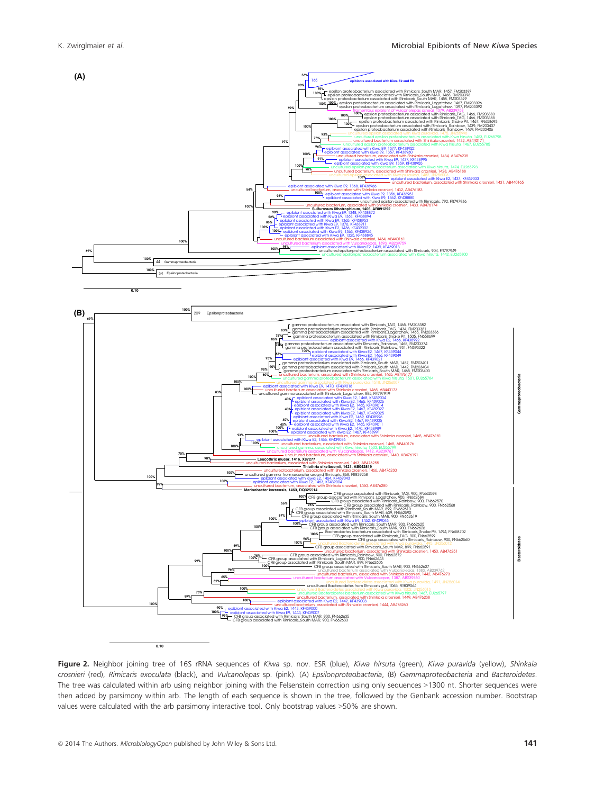

Figure 2. Neighbor joining tree of 16S rRNA sequences of Kiwa sp. nov. ESR (blue), Kiwa hirsuta (green), Kiwa puravida (yellow), Shinkaia crosnieri (red), Rimicaris exoculata (black), and Vulcanolepas sp. (pink). (A) Epsilonproteobacteria, (B) Gammaproteobacteria and Bacteroidetes. The tree was calculated within arb using neighbor joining with the Felsenstein correction using only sequences >1300 nt. Shorter sequences were then added by parsimony within arb. The length of each sequence is shown in the tree, followed by the Genbank accession number. Bootstrap values were calculated with the arb parsimony interactive tool. Only bootstrap values >50% are shown.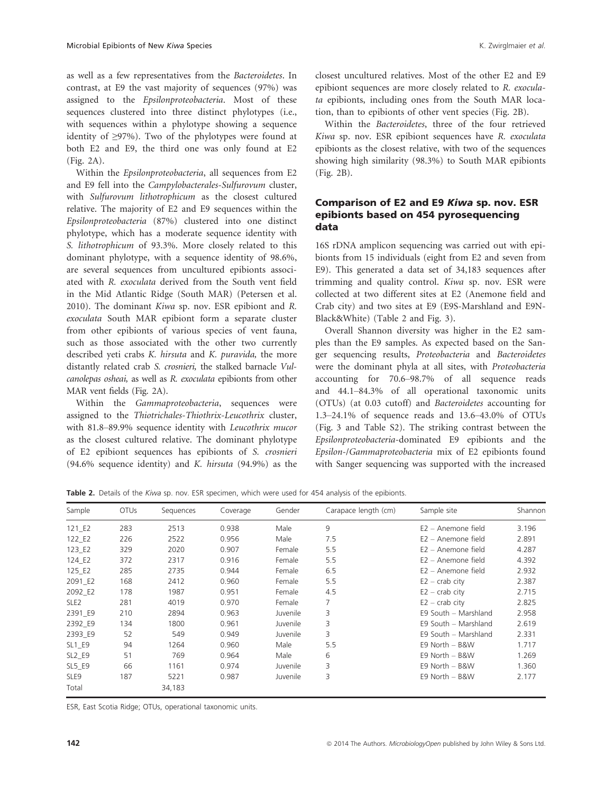as well as a few representatives from the Bacteroidetes. In contrast, at E9 the vast majority of sequences (97%) was assigned to the Epsilonproteobacteria. Most of these sequences clustered into three distinct phylotypes (i.e., with sequences within a phylotype showing a sequence identity of ≥97%). Two of the phylotypes were found at both E2 and E9, the third one was only found at E2 (Fig. 2A).

Within the Epsilonproteobacteria, all sequences from E2 and E9 fell into the Campylobacterales-Sulfurovum cluster, with Sulfurovum lithotrophicum as the closest cultured relative. The majority of E2 and E9 sequences within the Epsilonproteobacteria (87%) clustered into one distinct phylotype, which has a moderate sequence identity with S. lithotrophicum of 93.3%. More closely related to this dominant phylotype, with a sequence identity of 98.6%, are several sequences from uncultured epibionts associated with R. exoculata derived from the South vent field in the Mid Atlantic Ridge (South MAR) (Petersen et al. 2010). The dominant Kiwa sp. nov. ESR epibiont and R. exoculata South MAR epibiont form a separate cluster from other epibionts of various species of vent fauna, such as those associated with the other two currently described veti crabs K. hirsuta and K. puravida, the more distantly related crab S. crosnieri, the stalked barnacle Vulcanolepas osheai, as well as R. exoculata epibionts from other MAR vent fields (Fig. 2A).

Within the Gammaproteobacteria, sequences were assigned to the Thiotrichales-Thiothrix-Leucothrix cluster, with 81.8–89.9% sequence identity with Leucothrix mucor as the closest cultured relative. The dominant phylotype of E2 epibiont sequences has epibionts of S. crosnieri (94.6% sequence identity) and K. hirsuta (94.9%) as the closest uncultured relatives. Most of the other E2 and E9 epibiont sequences are more closely related to R. exoculata epibionts, including ones from the South MAR location, than to epibionts of other vent species (Fig. 2B).

Within the Bacteroidetes, three of the four retrieved Kiwa sp. nov. ESR epibiont sequences have R. exoculata epibionts as the closest relative, with two of the sequences showing high similarity (98.3%) to South MAR epibionts (Fig. 2B).

### Comparison of E2 and E9 Kiwa sp. nov. ESR epibionts based on 454 pyrosequencing data

16S rDNA amplicon sequencing was carried out with epibionts from 15 individuals (eight from E2 and seven from E9). This generated a data set of 34,183 sequences after trimming and quality control. Kiwa sp. nov. ESR were collected at two different sites at E2 (Anemone field and Crab city) and two sites at E9 (E9S-Marshland and E9N-Black&White) (Table 2 and Fig. 3).

Overall Shannon diversity was higher in the E2 samples than the E9 samples. As expected based on the Sanger sequencing results, Proteobacteria and Bacteroidetes were the dominant phyla at all sites, with Proteobacteria accounting for 70.6–98.7% of all sequence reads and 44.1–84.3% of all operational taxonomic units (OTUs) (at 0.03 cutoff) and Bacteroidetes accounting for 1.3–24.1% of sequence reads and 13.6–43.0% of OTUs (Fig. 3 and Table S2). The striking contrast between the Epsilonproteobacteria-dominated E9 epibionts and the Epsilon-/Gammaproteobacteria mix of E2 epibionts found with Sanger sequencing was supported with the increased

Table 2. Details of the Kiwa sp. nov. ESR specimen, which were used for 454 analysis of the epibionts.

| Sample           | <b>OTUs</b> | Sequences | Coverage | Gender   | Carapace length (cm) | Sample site          | Shannon |
|------------------|-------------|-----------|----------|----------|----------------------|----------------------|---------|
| $121$ $E2$       | 283         | 2513      | 0.938    | Male     | 9                    | $E2 -$ Anemone field | 3.196   |
| 122 E2           | 226         | 2522      | 0.956    | Male     | 7.5                  | $E2 -$ Anemone field | 2.891   |
| 123 E2           | 329         | 2020      | 0.907    | Female   | 5.5                  | $E2 -$ Anemone field | 4.287   |
| 124 E2           | 372         | 2317      | 0.916    | Female   | 5.5                  | $E2 -$ Anemone field | 4.392   |
| 125 E2           | 285         | 2735      | 0.944    | Female   | 6.5                  | $E2 -$ Anemone field | 2.932   |
| 2091 E2          | 168         | 2412      | 0.960    | Female   | 5.5                  | $E2 - crab$ city     | 2.387   |
| 2092 E2          | 178         | 1987      | 0.951    | Female   | 4.5                  | $E2 - crab$ city     | 2.715   |
| SLE <sub>2</sub> | 281         | 4019      | 0.970    | Female   | 7                    | $E2 - crab$ city     | 2.825   |
| 2391 E9          | 210         | 2894      | 0.963    | Juvenile | 3                    | E9 South - Marshland | 2.958   |
| 2392 E9          | 134         | 1800      | 0.961    | Juvenile | 3                    | E9 South - Marshland | 2.619   |
| 2393 E9          | 52          | 549       | 0.949    | Juvenile | 3                    | E9 South - Marshland | 2.331   |
| SL1 E9           | 94          | 1264      | 0.960    | Male     | 5.5                  | E9 North - B&W       | 1.717   |
| <b>SL2 E9</b>    | 51          | 769       | 0.964    | Male     | 6                    | E9 North - B&W       | 1.269   |
| SL5 E9           | 66          | 1161      | 0.974    | Juvenile | 3                    | E9 North - B&W       | 1.360   |
| SLE <sub>9</sub> | 187         | 5221      | 0.987    | Juvenile | 3                    | E9 North - B&W       | 2.177   |
| Total            |             | 34,183    |          |          |                      |                      |         |

ESR, East Scotia Ridge; OTUs, operational taxonomic units.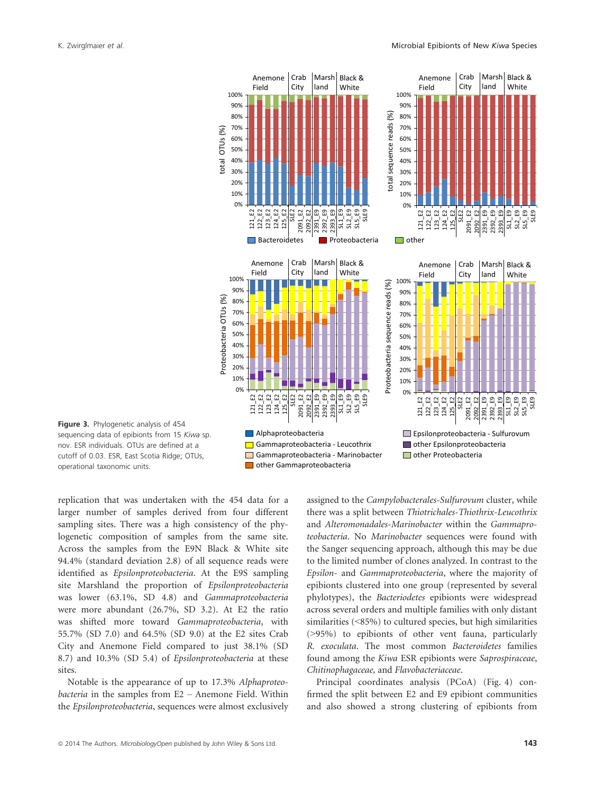



replication that was undertaken with the 454 data for a larger number of samples derived from four different sampling sites. There was a high consistency of the phylogenetic composition of samples from the same site. Across the samples from the E9N Black & White site 94.4% (standard deviation 2.8) of all sequence reads were identified as Epsilonproteobacteria. At the E9S sampling site Marshland the proportion of Epsilonproteobacteria was lower (63.1%, SD 4.8) and Gammaproteobacteria were more abundant (26.7%, SD 3.2). At E2 the ratio was shifted more toward Gammaproteobacteria, with 55.7% (SD 7.0) and 64.5% (SD 9.0) at the E2 sites Crab City and Anemone Field compared to just 38.1% (SD 8.7) and 10.3% (SD 5.4) of Epsilonproteobacteria at these sites.

Notable is the appearance of up to 17.3% Alphaproteobacteria in the samples from E2 – Anemone Field. Within the Epsilonproteobacteria, sequences were almost exclusively assigned to the Campylobacterales-Sulfurovum cluster, while there was a split between Thiotrichales-Thiothrix-Leucothrix and Alteromonadales-Marinobacter within the Gammaproteobacteria. No Marinobacter sequences were found with the Sanger sequencing approach, although this may be due to the limited number of clones analyzed. In contrast to the Epsilon- and Gammaproteobacteria, where the majority of epibionts clustered into one group (represented by several phylotypes), the Bacteriodetes epibionts were widespread across several orders and multiple families with only distant similarities (<85%) to cultured species, but high similarities (>95%) to epibionts of other vent fauna, particularly R. exoculata. The most common Bacteroidetes families found among the Kiwa ESR epibionts were Saprospiraceae, Chitinophagaceae, and Flavobacteriaceae.

Principal coordinates analysis (PCoA) (Fig. 4) confirmed the split between E2 and E9 epibiont communities and also showed a strong clustering of epibionts from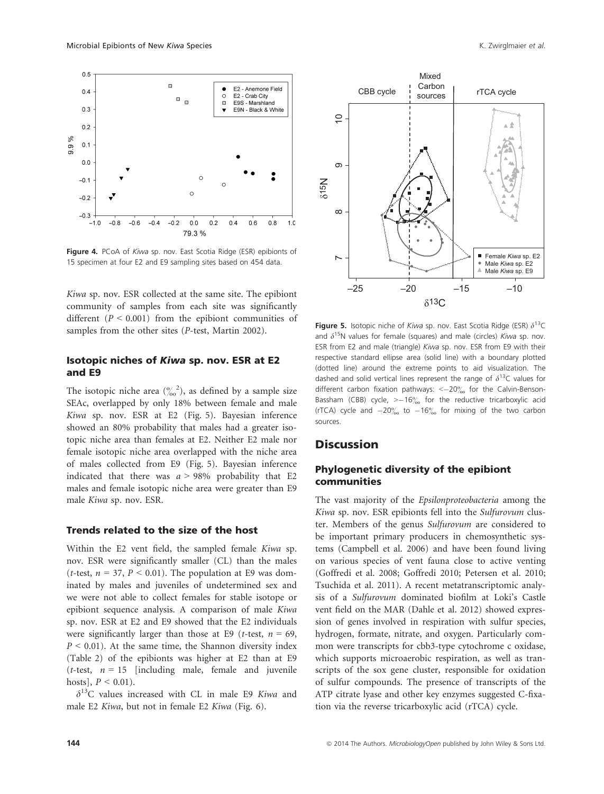

Figure 4. PCoA of Kiwa sp. nov. East Scotia Ridge (ESR) epibionts of 15 specimen at four E2 and E9 sampling sites based on 454 data.

Kiwa sp. nov. ESR collected at the same site. The epibiont community of samples from each site was significantly different  $(P < 0.001)$  from the epibiont communities of samples from the other sites (P-test, Martin 2002).

#### Isotopic niches of Kiwa sp. nov. ESR at E2 and E9

The isotopic niche area  $\binom{9}{00}^2$ , as defined by a sample size SEAc, overlapped by only 18% between female and male Kiwa sp. nov. ESR at E2 (Fig. 5). Bayesian inference showed an 80% probability that males had a greater isotopic niche area than females at E2. Neither E2 male nor female isotopic niche area overlapped with the niche area of males collected from E9 (Fig. 5). Bayesian inference indicated that there was  $a > 98\%$  probability that E2 males and female isotopic niche area were greater than E9 male Kiwa sp. nov. ESR.

#### Trends related to the size of the host

Within the E2 vent field, the sampled female Kiwa sp. nov. ESR were significantly smaller (CL) than the males (*t*-test,  $n = 37$ ,  $P < 0.01$ ). The population at E9 was dominated by males and juveniles of undetermined sex and we were not able to collect females for stable isotope or epibiont sequence analysis. A comparison of male Kiwa sp. nov. ESR at E2 and E9 showed that the E2 individuals were significantly larger than those at E9 (*t*-test,  $n = 69$ ,  $P \le 0.01$ ). At the same time, the Shannon diversity index (Table 2) of the epibionts was higher at E2 than at E9 (*t*-test,  $n = 15$  [including male, female and juvenile hosts],  $P < 0.01$ ).

 $\delta^{13}$ C values increased with CL in male E9 Kiwa and male E2 Kiwa, but not in female E2 Kiwa (Fig. 6).



**Figure 5.** Isotopic niche of Kiwa sp. nov. East Scotia Ridge (ESR)  $\delta^{13}$ C and  $\delta^{15}$ N values for female (squares) and male (circles) Kiwa sp. nov. ESR from E2 and male (triangle) Kiwa sp. nov. ESR from E9 with their respective standard ellipse area (solid line) with a boundary plotted (dotted line) around the extreme points to aid visualization. The dashed and solid vertical lines represent the range of  $\delta^{13}$ C values for different carbon fixation pathways:  $\langle -20\% \rangle$  for the Calvin-Benson-Bassham (CBB) cycle,  $> -16\%$  for the reductive tricarboxylic acid (rTCA) cycle and  $-20\%$  to  $-16\%$  for mixing of the two carbon sources.

### **Discussion**

### Phylogenetic diversity of the epibiont communities

The vast majority of the Epsilonproteobacteria among the Kiwa sp. nov. ESR epibionts fell into the Sulfurovum cluster. Members of the genus Sulfurovum are considered to be important primary producers in chemosynthetic systems (Campbell et al. 2006) and have been found living on various species of vent fauna close to active venting (Goffredi et al. 2008; Goffredi 2010; Petersen et al. 2010; Tsuchida et al. 2011). A recent metatranscriptomic analysis of a Sulfurovum dominated biofilm at Loki's Castle vent field on the MAR (Dahle et al. 2012) showed expression of genes involved in respiration with sulfur species, hydrogen, formate, nitrate, and oxygen. Particularly common were transcripts for cbb3-type cytochrome c oxidase, which supports microaerobic respiration, as well as transcripts of the sox gene cluster, responsible for oxidation of sulfur compounds. The presence of transcripts of the ATP citrate lyase and other key enzymes suggested C-fixation via the reverse tricarboxylic acid (rTCA) cycle.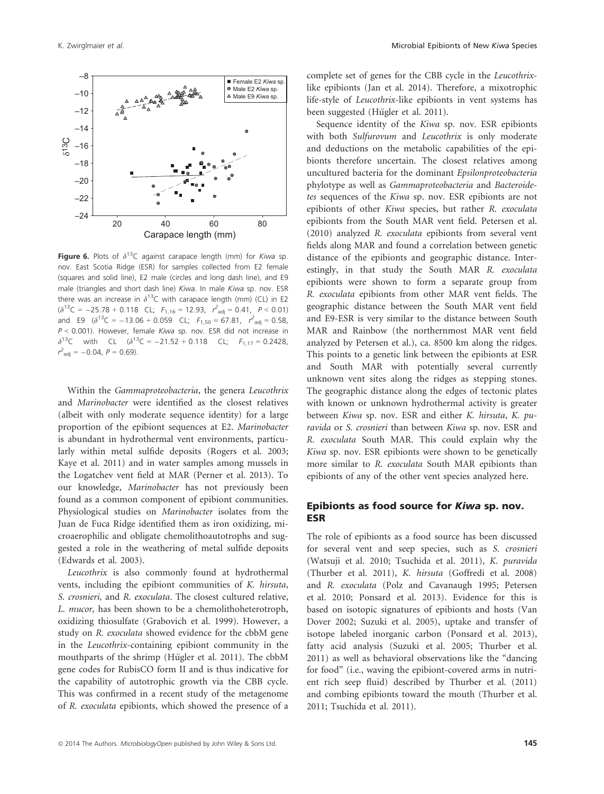

**Figure 6.** Plots of  $\delta^{13}$ C against carapace length (mm) for Kiwa sp. nov. East Scotia Ridge (ESR) for samples collected from E2 female (squares and solid line), E2 male (circles and long dash line), and E9 male (triangles and short dash line) Kiwa. In male Kiwa sp. nov. ESR there was an increase in  $\delta^{13}$ C with carapace length (mm) (CL) in E2  $(\delta^{13}C = -25.78 + 0.118 \text{ CL};$   $F_{1,16} = 12.93,$   $r_{\text{adj}}^2 = 0.41,$   $P < 0.01$ and E9  $(\delta^{13}C = -13.06 + 0.059 \text{ CL}; F_{1,50} = 67.81, r_{\text{adj}}^2 = 0.58,$  $P < 0.001$ ). However, female Kiwa sp. nov. ESR did not increase in  $\delta^{13}$ C with CL  $(\delta^{13}$ C = -21.52 + 0.118 CL;  $F_{1,17} = 0.2428$ ,  $r^2_{\text{adj}} = -0.04$ ,  $P = 0.69$ ).

Within the Gammaproteobacteria, the genera Leucothrix and Marinobacter were identified as the closest relatives (albeit with only moderate sequence identity) for a large proportion of the epibiont sequences at E2. Marinobacter is abundant in hydrothermal vent environments, particularly within metal sulfide deposits (Rogers et al. 2003; Kaye et al. 2011) and in water samples among mussels in the Logatchev vent field at MAR (Perner et al. 2013). To our knowledge, Marinobacter has not previously been found as a common component of epibiont communities. Physiological studies on Marinobacter isolates from the Juan de Fuca Ridge identified them as iron oxidizing, microaerophilic and obligate chemolithoautotrophs and suggested a role in the weathering of metal sulfide deposits (Edwards et al. 2003).

Leucothrix is also commonly found at hydrothermal vents, including the epibiont communities of K. hirsuta, S. crosnieri, and R. exoculata. The closest cultured relative, L. mucor, has been shown to be a chemolithoheterotroph, oxidizing thiosulfate (Grabovich et al. 1999). However, a study on R. exoculata showed evidence for the cbbM gene in the Leucothrix-containing epibiont community in the mouthparts of the shrimp (Hügler et al. 2011). The cbbM gene codes for RubisCO form II and is thus indicative for the capability of autotrophic growth via the CBB cycle. This was confirmed in a recent study of the metagenome of R. exoculata epibionts, which showed the presence of a complete set of genes for the CBB cycle in the Leucothrixlike epibionts (Jan et al. 2014). Therefore, a mixotrophic life-style of Leucothrix-like epibionts in vent systems has been suggested (Hügler et al. 2011).

Sequence identity of the Kiwa sp. nov. ESR epibionts with both Sulfurovum and Leucothrix is only moderate and deductions on the metabolic capabilities of the epibionts therefore uncertain. The closest relatives among uncultured bacteria for the dominant Epsilonproteobacteria phylotype as well as Gammaproteobacteria and Bacteroidetes sequences of the Kiwa sp. nov. ESR epibionts are not epibionts of other Kiwa species, but rather R. exoculata epibionts from the South MAR vent field. Petersen et al. (2010) analyzed R. exoculata epibionts from several vent fields along MAR and found a correlation between genetic distance of the epibionts and geographic distance. Interestingly, in that study the South MAR R. exoculata epibionts were shown to form a separate group from R. exoculata epibionts from other MAR vent fields. The geographic distance between the South MAR vent field and E9-ESR is very similar to the distance between South MAR and Rainbow (the northernmost MAR vent field analyzed by Petersen et al.), ca. 8500 km along the ridges. This points to a genetic link between the epibionts at ESR and South MAR with potentially several currently unknown vent sites along the ridges as stepping stones. The geographic distance along the edges of tectonic plates with known or unknown hydrothermal activity is greater between Kiwa sp. nov. ESR and either K. hirsuta, K. puravida or S. crosnieri than between Kiwa sp. nov. ESR and R. exoculata South MAR. This could explain why the Kiwa sp. nov. ESR epibionts were shown to be genetically more similar to R. exoculata South MAR epibionts than epibionts of any of the other vent species analyzed here.

### Epibionts as food source for Kiwa sp. nov. ESR

The role of epibionts as a food source has been discussed for several vent and seep species, such as S. crosnieri (Watsuji et al. 2010; Tsuchida et al. 2011), K. puravida (Thurber et al. 2011), K. hirsuta (Goffredi et al. 2008) and R. exoculata (Polz and Cavanaugh 1995; Petersen et al. 2010; Ponsard et al. 2013). Evidence for this is based on isotopic signatures of epibionts and hosts (Van Dover 2002; Suzuki et al. 2005), uptake and transfer of isotope labeled inorganic carbon (Ponsard et al. 2013), fatty acid analysis (Suzuki et al. 2005; Thurber et al. 2011) as well as behavioral observations like the "dancing for food" (i.e., waving the epibiont-covered arms in nutrient rich seep fluid) described by Thurber et al. (2011) and combing epibionts toward the mouth (Thurber et al. 2011; Tsuchida et al. 2011).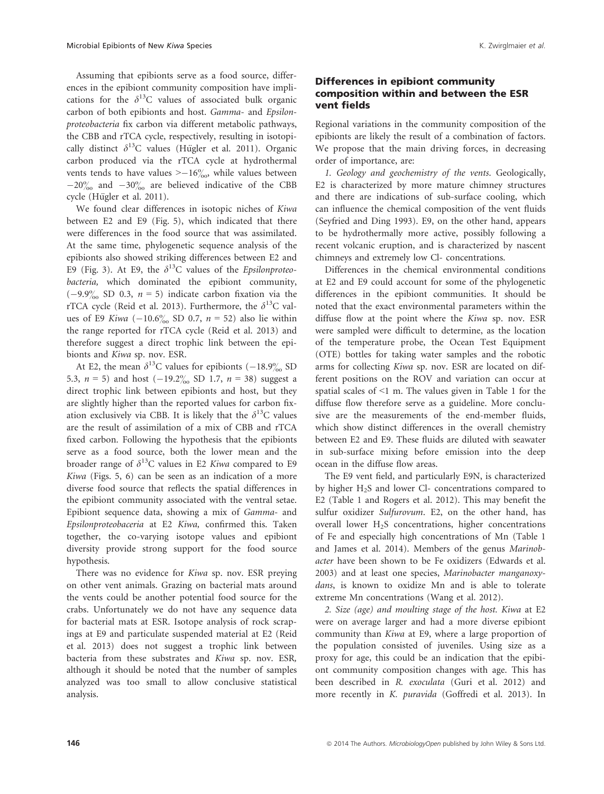Assuming that epibionts serve as a food source, differences in the epibiont community composition have implications for the  $\delta^{13}$ C values of associated bulk organic carbon of both epibionts and host. Gamma- and Epsilonproteobacteria fix carbon via different metabolic pathways, the CBB and rTCA cycle, respectively, resulting in isotopically distinct  $\delta^{13}C$  values (Hügler et al. 2011). Organic carbon produced via the rTCA cycle at hydrothermal vents tends to have values  $> -16\%$ , while values between  $-20\%$  and  $-30\%$  are believed indicative of the CBB cycle (Hügler et al. 2011).

We found clear differences in isotopic niches of Kiwa between E2 and E9 (Fig. 5), which indicated that there were differences in the food source that was assimilated. At the same time, phylogenetic sequence analysis of the epibionts also showed striking differences between E2 and E9 (Fig. 3). At E9, the  $\delta^{13}$ C values of the *Epsilonproteo*bacteria, which dominated the epibiont community,  $(-9.9\% \text{ SD } 0.3, n = 5)$  indicate carbon fixation via the rTCA cycle (Reid et al. 2013). Furthermore, the  $\delta^{13}$ C values of E9 Kiwa  $(-10.6\%_{00}$  SD 0.7,  $n = 52$ ) also lie within the range reported for rTCA cycle (Reid et al. 2013) and therefore suggest a direct trophic link between the epibionts and Kiwa sp. nov. ESR.

At E2, the mean  $\delta^{13}$ C values for epibionts (-18.9% SD 5.3,  $n = 5$ ) and host  $(-19.2\% \text{ S}D \ 1.7, n = 38)$  suggest a direct trophic link between epibionts and host, but they are slightly higher than the reported values for carbon fixation exclusively via CBB. It is likely that the  $\delta^{13}C$  values are the result of assimilation of a mix of CBB and rTCA fixed carbon. Following the hypothesis that the epibionts serve as a food source, both the lower mean and the broader range of  $\delta^{13}$ C values in E2 Kiwa compared to E9 Kiwa (Figs. 5, 6) can be seen as an indication of a more diverse food source that reflects the spatial differences in the epibiont community associated with the ventral setae. Epibiont sequence data, showing a mix of Gamma- and Epsilonproteobaceria at E2 Kiwa, confirmed this. Taken together, the co-varying isotope values and epibiont diversity provide strong support for the food source hypothesis.

There was no evidence for Kiwa sp. nov. ESR preying on other vent animals. Grazing on bacterial mats around the vents could be another potential food source for the crabs. Unfortunately we do not have any sequence data for bacterial mats at ESR. Isotope analysis of rock scrapings at E9 and particulate suspended material at E2 (Reid et al. 2013) does not suggest a trophic link between bacteria from these substrates and Kiwa sp. nov. ESR, although it should be noted that the number of samples analyzed was too small to allow conclusive statistical analysis.

### Differences in epibiont community composition within and between the ESR vent fields

Regional variations in the community composition of the epibionts are likely the result of a combination of factors. We propose that the main driving forces, in decreasing order of importance, are:

1. Geology and geochemistry of the vents. Geologically, E2 is characterized by more mature chimney structures and there are indications of sub-surface cooling, which can influence the chemical composition of the vent fluids (Seyfried and Ding 1993). E9, on the other hand, appears to be hydrothermally more active, possibly following a recent volcanic eruption, and is characterized by nascent chimneys and extremely low Cl- concentrations.

Differences in the chemical environmental conditions at E2 and E9 could account for some of the phylogenetic differences in the epibiont communities. It should be noted that the exact environmental parameters within the diffuse flow at the point where the Kiwa sp. nov. ESR were sampled were difficult to determine, as the location of the temperature probe, the Ocean Test Equipment (OTE) bottles for taking water samples and the robotic arms for collecting Kiwa sp. nov. ESR are located on different positions on the ROV and variation can occur at spatial scales of  $\leq 1$  m. The values given in Table 1 for the diffuse flow therefore serve as a guideline. More conclusive are the measurements of the end-member fluids, which show distinct differences in the overall chemistry between E2 and E9. These fluids are diluted with seawater in sub-surface mixing before emission into the deep ocean in the diffuse flow areas.

The E9 vent field, and particularly E9N, is characterized by higher H2S and lower Cl- concentrations compared to E2 (Table 1 and Rogers et al. 2012). This may benefit the sulfur oxidizer Sulfurovum. E2, on the other hand, has overall lower H2S concentrations, higher concentrations of Fe and especially high concentrations of Mn (Table 1 and James et al. 2014). Members of the genus Marinobacter have been shown to be Fe oxidizers (Edwards et al. 2003) and at least one species, Marinobacter manganoxydans, is known to oxidize Mn and is able to tolerate extreme Mn concentrations (Wang et al. 2012).

2. Size (age) and moulting stage of the host. Kiwa at E2 were on average larger and had a more diverse epibiont community than Kiwa at E9, where a large proportion of the population consisted of juveniles. Using size as a proxy for age, this could be an indication that the epibiont community composition changes with age. This has been described in R. exoculata (Guri et al. 2012) and more recently in K. puravida (Goffredi et al. 2013). In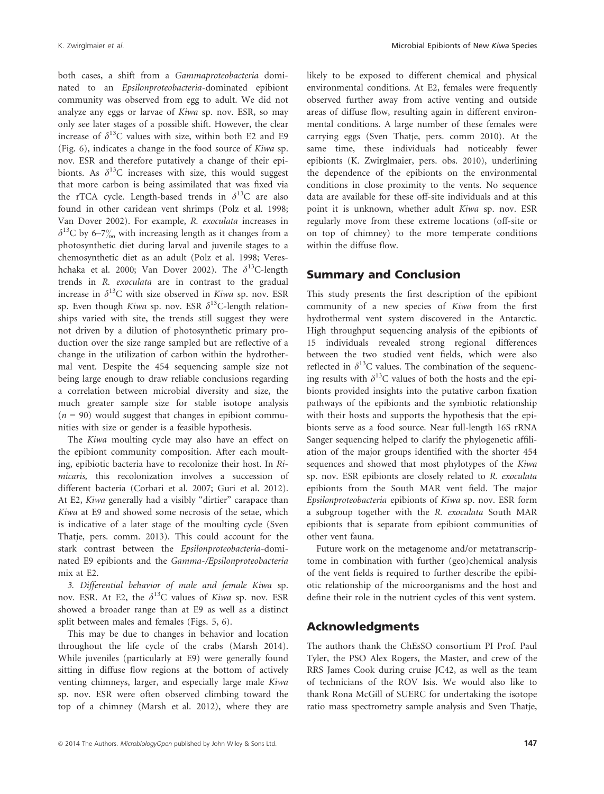both cases, a shift from a Gammaproteobacteria dominated to an Epsilonproteobacteria-dominated epibiont community was observed from egg to adult. We did not analyze any eggs or larvae of Kiwa sp. nov. ESR, so may only see later stages of a possible shift. However, the clear increase of  $\delta^{13}$ C values with size, within both E2 and E9 (Fig. 6), indicates a change in the food source of Kiwa sp. nov. ESR and therefore putatively a change of their epibionts. As  $\delta^{13}$ C increases with size, this would suggest that more carbon is being assimilated that was fixed via the rTCA cycle. Length-based trends in  $\delta^{13}$ C are also found in other caridean vent shrimps (Polz et al. 1998; Van Dover 2002). For example, R. exoculata increases in  $\delta^{13}$ C by 6–7% with increasing length as it changes from a photosynthetic diet during larval and juvenile stages to a chemosynthetic diet as an adult (Polz et al. 1998; Vereshchaka et al. 2000; Van Dover 2002). The  $\delta^{13}$ C-length trends in R. exoculata are in contrast to the gradual increase in  $\delta^{13}$ C with size observed in Kiwa sp. nov. ESR sp. Even though Kiwa sp. nov. ESR  $\delta^{13}$ C-length relationships varied with site, the trends still suggest they were not driven by a dilution of photosynthetic primary production over the size range sampled but are reflective of a change in the utilization of carbon within the hydrothermal vent. Despite the 454 sequencing sample size not being large enough to draw reliable conclusions regarding a correlation between microbial diversity and size, the much greater sample size for stable isotope analysis  $(n = 90)$  would suggest that changes in epibiont communities with size or gender is a feasible hypothesis.

The Kiwa moulting cycle may also have an effect on the epibiont community composition. After each moulting, epibiotic bacteria have to recolonize their host. In Rimicaris, this recolonization involves a succession of different bacteria (Corbari et al. 2007; Guri et al. 2012). At E2, Kiwa generally had a visibly "dirtier" carapace than Kiwa at E9 and showed some necrosis of the setae, which is indicative of a later stage of the moulting cycle (Sven Thatje, pers. comm. 2013). This could account for the stark contrast between the Epsilonproteobacteria-dominated E9 epibionts and the Gamma-/Epsilonproteobacteria mix at E2.

3. Differential behavior of male and female Kiwa sp. nov. ESR. At E2, the  $\delta^{13}$ C values of Kiwa sp. nov. ESR showed a broader range than at E9 as well as a distinct split between males and females (Figs. 5, 6).

This may be due to changes in behavior and location throughout the life cycle of the crabs (Marsh 2014). While juveniles (particularly at E9) were generally found sitting in diffuse flow regions at the bottom of actively venting chimneys, larger, and especially large male Kiwa sp. nov. ESR were often observed climbing toward the top of a chimney (Marsh et al. 2012), where they are likely to be exposed to different chemical and physical environmental conditions. At E2, females were frequently observed further away from active venting and outside areas of diffuse flow, resulting again in different environmental conditions. A large number of these females were carrying eggs (Sven Thatje, pers. comm 2010). At the same time, these individuals had noticeably fewer epibionts (K. Zwirglmaier, pers. obs. 2010), underlining the dependence of the epibionts on the environmental conditions in close proximity to the vents. No sequence data are available for these off-site individuals and at this point it is unknown, whether adult Kiwa sp. nov. ESR regularly move from these extreme locations (off-site or on top of chimney) to the more temperate conditions within the diffuse flow.

## Summary and Conclusion

This study presents the first description of the epibiont community of a new species of Kiwa from the first hydrothermal vent system discovered in the Antarctic. High throughput sequencing analysis of the epibionts of 15 individuals revealed strong regional differences between the two studied vent fields, which were also reflected in  $\delta^{13}$ C values. The combination of the sequencing results with  $\delta^{13}$ C values of both the hosts and the epibionts provided insights into the putative carbon fixation pathways of the epibionts and the symbiotic relationship with their hosts and supports the hypothesis that the epibionts serve as a food source. Near full-length 16S rRNA Sanger sequencing helped to clarify the phylogenetic affiliation of the major groups identified with the shorter 454 sequences and showed that most phylotypes of the Kiwa sp. nov. ESR epibionts are closely related to R. exoculata epibionts from the South MAR vent field. The major Epsilonproteobacteria epibionts of Kiwa sp. nov. ESR form a subgroup together with the R. exoculata South MAR epibionts that is separate from epibiont communities of other vent fauna.

Future work on the metagenome and/or metatranscriptome in combination with further (geo)chemical analysis of the vent fields is required to further describe the epibiotic relationship of the microorganisms and the host and define their role in the nutrient cycles of this vent system.

### Acknowledgments

The authors thank the ChEsSO consortium PI Prof. Paul Tyler, the PSO Alex Rogers, the Master, and crew of the RRS James Cook during cruise JC42, as well as the team of technicians of the ROV Isis. We would also like to thank Rona McGill of SUERC for undertaking the isotope ratio mass spectrometry sample analysis and Sven Thatje,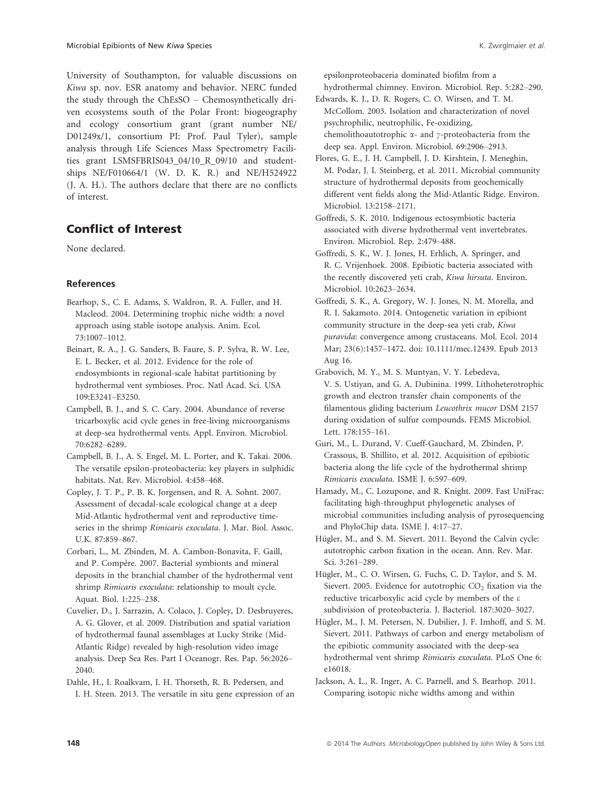University of Southampton, for valuable discussions on Kiwa sp. nov. ESR anatomy and behavior. NERC funded the study through the ChEsSO – Chemosynthetically driven ecosystems south of the Polar Front: biogeography and ecology consortium grant (grant number NE/ D01249x/1, consortium PI: Prof. Paul Tyler), sample analysis through Life Sciences Mass Spectrometry Facilities grant LSMSFBRIS043\_04/10\_R\_09/10 and studentships NE/F010664/1 (W. D. K. R.) and NE/H524922 (J. A. H.). The authors declare that there are no conflicts of interest.

# Conflict of Interest

None declared.

### References

- Bearhop, S., C. E. Adams, S. Waldron, R. A. Fuller, and H. Macleod. 2004. Determining trophic niche width: a novel approach using stable isotope analysis. Anim. Ecol. 73:1007–1012.
- Beinart, R. A., J. G. Sanders, B. Faure, S. P. Sylva, R. W. Lee, E. L. Becker, et al. 2012. Evidence for the role of endosymbionts in regional-scale habitat partitioning by hydrothermal vent symbioses. Proc. Natl Acad. Sci. USA 109:E3241–E3250.
- Campbell, B. J., and S. C. Cary. 2004. Abundance of reverse tricarboxylic acid cycle genes in free-living microorganisms at deep-sea hydrothermal vents. Appl. Environ. Microbiol. 70:6282–6289.
- Campbell, B. J., A. S. Engel, M. L. Porter, and K. Takai. 2006. The versatile epsilon-proteobacteria: key players in sulphidic habitats. Nat. Rev. Microbiol. 4:458–468.
- Copley, J. T. P., P. B. K. Jorgensen, and R. A. Sohnt. 2007. Assessment of decadal-scale ecological change at a deep Mid-Atlantic hydrothermal vent and reproductive timeseries in the shrimp Rimicaris exoculata. J. Mar. Biol. Assoc. U.K. 87:859–867.
- Corbari, L., M. Zbinden, M. A. Cambon-Bonavita, F. Gaill, and P. Compère. 2007. Bacterial symbionts and mineral deposits in the branchial chamber of the hydrothermal vent shrimp Rimicaris exoculata: relationship to moult cycle. Aquat. Biol. 1:225–238.
- Cuvelier, D., J. Sarrazin, A. Colaco, J. Copley, D. Desbruyeres, A. G. Glover, et al. 2009. Distribution and spatial variation of hydrothermal faunal assemblages at Lucky Strike (Mid-Atlantic Ridge) revealed by high-resolution video image analysis. Deep Sea Res. Part I Oceanogr. Res. Pap. 56:2026– 2040.

Dahle, H., I. Roalkvam, I. H. Thorseth, R. B. Pedersen, and I. H. Steen. 2013. The versatile in situ gene expression of an epsilonproteobaceria dominated biofilm from a hydrothermal chimney. Environ. Microbiol. Rep. 5:282–290.

- Edwards, K. J., D. R. Rogers, C. O. Wirsen, and T. M. McCollom. 2003. Isolation and characterization of novel psychrophilic, neutrophilic, Fe-oxidizing, chemolithoautotrophic  $\alpha$ - and  $\gamma$ -proteobacteria from the deep sea. Appl. Environ. Microbiol. 69:2906–2913.
- Flores, G. E., J. H. Campbell, J. D. Kirshtein, J. Meneghin, M. Podar, J. I. Steinberg, et al. 2011. Microbial community structure of hydrothermal deposits from geochemically different vent fields along the Mid-Atlantic Ridge. Environ. Microbiol. 13:2158–2171.
- Goffredi, S. K. 2010. Indigenous ectosymbiotic bacteria associated with diverse hydrothermal vent invertebrates. Environ. Microbiol. Rep. 2:479–488.
- Goffredi, S. K., W. J. Jones, H. Erhlich, A. Springer, and R. C. Vrijenhoek. 2008. Epibiotic bacteria associated with the recently discovered yeti crab, Kiwa hirsuta. Environ. Microbiol. 10:2623–2634.
- Goffredi, S. K., A. Gregory, W. J. Jones, N. M. Morella, and R. I. Sakamoto. 2014. Ontogenetic variation in epibiont community structure in the deep-sea yeti crab, Kiwa puravida: convergence among crustaceans. Mol. Ecol. 2014 Mar; 23(6):1457–1472. doi: 10.1111/mec.12439. Epub 2013 Aug 16.
- Grabovich, M. Y., M. S. Muntyan, V. Y. Lebedeva, V. S. Ustiyan, and G. A. Dubinina. 1999. Lithoheterotrophic growth and electron transfer chain components of the filamentous gliding bacterium Leucothrix mucor DSM 2157 during oxidation of sulfur compounds. FEMS Microbiol. Lett. 178:155–161.
- Guri, M., L. Durand, V. Cueff-Gauchard, M. Zbinden, P. Crassous, B. Shillito, et al. 2012. Acquisition of epibiotic bacteria along the life cycle of the hydrothermal shrimp Rimicaris exoculata. ISME J. 6:597–609.
- Hamady, M., C. Lozupone, and R. Knight. 2009. Fast UniFrac: facilitating high-throughput phylogenetic analyses of microbial communities including analysis of pyrosequencing and PhyloChip data. ISME J. 4:17–27.
- Hügler, M., and S. M. Sievert. 2011. Beyond the Calvin cycle: autotrophic carbon fixation in the ocean. Ann. Rev. Mar. Sci. 3:261–289.
- Hügler, M., C. O. Wirsen, G. Fuchs, C. D. Taylor, and S. M. Sievert. 2005. Evidence for autotrophic  $CO<sub>2</sub>$  fixation via the reductive tricarboxylic acid cycle by members of the  $\varepsilon$ subdivision of proteobacteria. J. Bacteriol. 187:3020–3027.
- Hügler, M., J. M. Petersen, N. Dubilier, J. F. Imhoff, and S. M. Sievert. 2011. Pathways of carbon and energy metabolism of the epibiotic community associated with the deep-sea hydrothermal vent shrimp Rimicaris exoculata. PLoS One 6: e16018.
- Jackson, A. L., R. Inger, A. C. Parnell, and S. Bearhop. 2011. Comparing isotopic niche widths among and within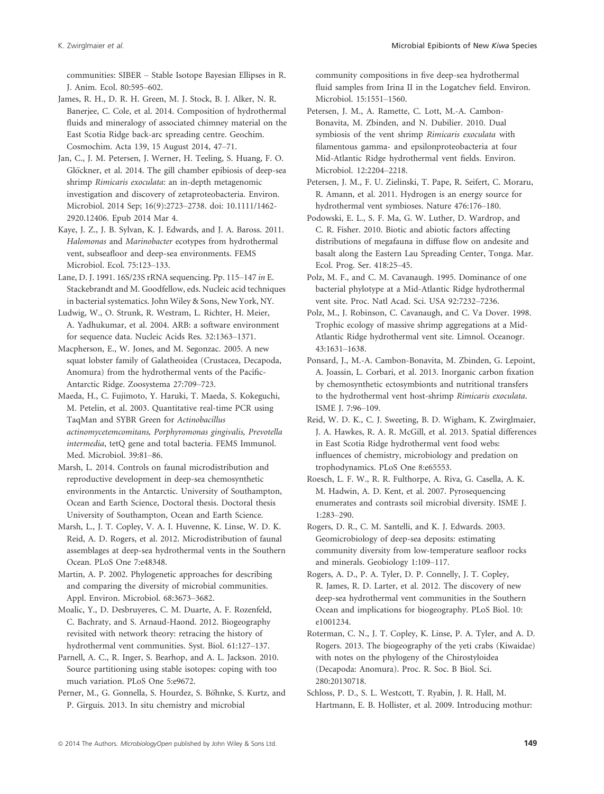communities: SIBER – Stable Isotope Bayesian Ellipses in R. J. Anim. Ecol. 80:595–602.

James, R. H., D. R. H. Green, M. J. Stock, B. J. Alker, N. R. Banerjee, C. Cole, et al. 2014. Composition of hydrothermal fluids and mineralogy of associated chimney material on the East Scotia Ridge back-arc spreading centre. Geochim. Cosmochim. Acta 139, 15 August 2014, 47–71.

Jan, C., J. M. Petersen, J. Werner, H. Teeling, S. Huang, F. O. Glöckner, et al. 2014. The gill chamber epibiosis of deep-sea shrimp Rimicaris exoculata: an in-depth metagenomic investigation and discovery of zetaproteobacteria. Environ. Microbiol. 2014 Sep; 16(9):2723–2738. doi: 10.1111/1462- 2920.12406. Epub 2014 Mar 4.

Kaye, J. Z., J. B. Sylvan, K. J. Edwards, and J. A. Baross. 2011. Halomonas and Marinobacter ecotypes from hydrothermal vent, subseafloor and deep-sea environments. FEMS Microbiol. Ecol. 75:123–133.

Lane, D. J. 1991. 16S/23S rRNA sequencing. Pp. 115–147 in E. Stackebrandt and M. Goodfellow, eds. Nucleic acid techniques in bacterial systematics. John Wiley & Sons, New York, NY.

Ludwig, W., O. Strunk, R. Westram, L. Richter, H. Meier, A. Yadhukumar, et al. 2004. ARB: a software environment for sequence data. Nucleic Acids Res. 32:1363–1371.

Macpherson, E., W. Jones, and M. Segonzac. 2005. A new squat lobster family of Galatheoidea (Crustacea, Decapoda, Anomura) from the hydrothermal vents of the Pacific-Antarctic Ridge. Zoosystema 27:709–723.

Maeda, H., C. Fujimoto, Y. Haruki, T. Maeda, S. Kokeguchi, M. Petelin, et al. 2003. Quantitative real-time PCR using TaqMan and SYBR Green for Actinobacillus actinomycetemcomitans, Porphyromonas gingivalis, Prevotella intermedia, tetQ gene and total bacteria. FEMS Immunol. Med. Microbiol. 39:81–86.

Marsh, L. 2014. Controls on faunal microdistribution and reproductive development in deep-sea chemosynthetic environments in the Antarctic. University of Southampton, Ocean and Earth Science, Doctoral thesis. Doctoral thesis University of Southampton, Ocean and Earth Science.

Marsh, L., J. T. Copley, V. A. I. Huvenne, K. Linse, W. D. K. Reid, A. D. Rogers, et al. 2012. Microdistribution of faunal assemblages at deep-sea hydrothermal vents in the Southern Ocean. PLoS One 7:e48348.

Martin, A. P. 2002. Phylogenetic approaches for describing and comparing the diversity of microbial communities. Appl. Environ. Microbiol. 68:3673–3682.

Moalic, Y., D. Desbruyeres, C. M. Duarte, A. F. Rozenfeld, C. Bachraty, and S. Arnaud-Haond. 2012. Biogeography revisited with network theory: retracing the history of hydrothermal vent communities. Syst. Biol. 61:127–137.

Parnell, A. C., R. Inger, S. Bearhop, and A. L. Jackson. 2010. Source partitioning using stable isotopes: coping with too much variation. PLoS One 5:e9672.

Perner, M., G. Gonnella, S. Hourdez, S. Böhnke, S. Kurtz, and P. Girguis. 2013. In situ chemistry and microbial

community compositions in five deep-sea hydrothermal fluid samples from Irina II in the Logatchev field. Environ. Microbiol. 15:1551–1560.

Petersen, J. M., A. Ramette, C. Lott, M.-A. Cambon-Bonavita, M. Zbinden, and N. Dubilier. 2010. Dual symbiosis of the vent shrimp Rimicaris exoculata with filamentous gamma- and epsilonproteobacteria at four Mid-Atlantic Ridge hydrothermal vent fields. Environ. Microbiol. 12:2204–2218.

Petersen, J. M., F. U. Zielinski, T. Pape, R. Seifert, C. Moraru, R. Amann, et al. 2011. Hydrogen is an energy source for hydrothermal vent symbioses. Nature 476:176–180.

Podowski, E. L., S. F. Ma, G. W. Luther, D. Wardrop, and C. R. Fisher. 2010. Biotic and abiotic factors affecting distributions of megafauna in diffuse flow on andesite and basalt along the Eastern Lau Spreading Center, Tonga. Mar. Ecol. Prog. Ser. 418:25–45.

Polz, M. F., and C. M. Cavanaugh. 1995. Dominance of one bacterial phylotype at a Mid-Atlantic Ridge hydrothermal vent site. Proc. Natl Acad. Sci. USA 92:7232–7236.

Polz, M., J. Robinson, C. Cavanaugh, and C. Va Dover. 1998. Trophic ecology of massive shrimp aggregations at a Mid-Atlantic Ridge hydrothermal vent site. Limnol. Oceanogr. 43:1631–1638.

Ponsard, J., M.-A. Cambon-Bonavita, M. Zbinden, G. Lepoint, A. Joassin, L. Corbari, et al. 2013. Inorganic carbon fixation by chemosynthetic ectosymbionts and nutritional transfers to the hydrothermal vent host-shrimp Rimicaris exoculata. ISME J. 7:96–109.

Reid, W. D. K., C. J. Sweeting, B. D. Wigham, K. Zwirglmaier, J. A. Hawkes, R. A. R. McGill, et al. 2013. Spatial differences in East Scotia Ridge hydrothermal vent food webs: influences of chemistry, microbiology and predation on trophodynamics. PLoS One 8:e65553.

Roesch, L. F. W., R. R. Fulthorpe, A. Riva, G. Casella, A. K. M. Hadwin, A. D. Kent, et al. 2007. Pyrosequencing enumerates and contrasts soil microbial diversity. ISME J. 1:283–290.

Rogers, D. R., C. M. Santelli, and K. J. Edwards. 2003. Geomicrobiology of deep-sea deposits: estimating community diversity from low-temperature seafloor rocks and minerals. Geobiology 1:109–117.

Rogers, A. D., P. A. Tyler, D. P. Connelly, J. T. Copley, R. James, R. D. Larter, et al. 2012. The discovery of new deep-sea hydrothermal vent communities in the Southern Ocean and implications for biogeography. PLoS Biol. 10: e1001234.

Roterman, C. N., J. T. Copley, K. Linse, P. A. Tyler, and A. D. Rogers. 2013. The biogeography of the yeti crabs (Kiwaidae) with notes on the phylogeny of the Chirostyloidea (Decapoda: Anomura). Proc. R. Soc. B Biol. Sci. 280:20130718.

Schloss, P. D., S. L. Westcott, T. Ryabin, J. R. Hall, M. Hartmann, E. B. Hollister, et al. 2009. Introducing mothur: